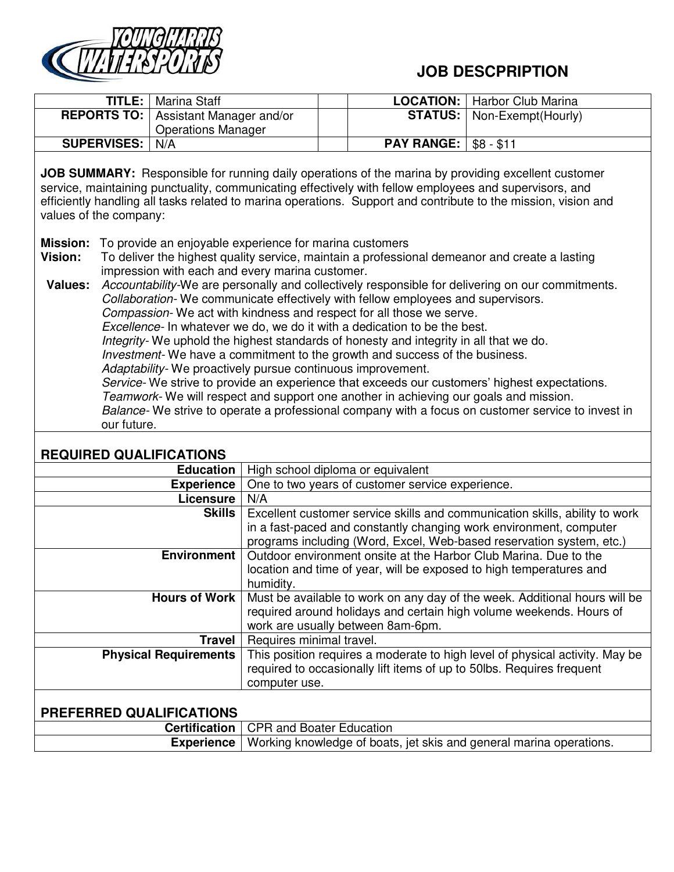

## **JOB DESCPRIPTION**

| TITLE:                                                                                                                                                                                                                                                                                                                                                                                                                                                                                                                                                                                                                                                                                                                                                                                                                                                                                                                                                                                                                                                                                                                                                                                                                                                                                                                                   |  | Marina Staff                                                                                                                                                                                                              |                                                                     | <b>LOCATION:</b>                                                                                                                        | Harbor Club Marina |  |
|------------------------------------------------------------------------------------------------------------------------------------------------------------------------------------------------------------------------------------------------------------------------------------------------------------------------------------------------------------------------------------------------------------------------------------------------------------------------------------------------------------------------------------------------------------------------------------------------------------------------------------------------------------------------------------------------------------------------------------------------------------------------------------------------------------------------------------------------------------------------------------------------------------------------------------------------------------------------------------------------------------------------------------------------------------------------------------------------------------------------------------------------------------------------------------------------------------------------------------------------------------------------------------------------------------------------------------------|--|---------------------------------------------------------------------------------------------------------------------------------------------------------------------------------------------------------------------------|---------------------------------------------------------------------|-----------------------------------------------------------------------------------------------------------------------------------------|--------------------|--|
| <b>REPORTS TO:</b>                                                                                                                                                                                                                                                                                                                                                                                                                                                                                                                                                                                                                                                                                                                                                                                                                                                                                                                                                                                                                                                                                                                                                                                                                                                                                                                       |  | Assistant Manager and/or                                                                                                                                                                                                  |                                                                     | <b>STATUS:</b>                                                                                                                          | Non-Exempt(Hourly) |  |
|                                                                                                                                                                                                                                                                                                                                                                                                                                                                                                                                                                                                                                                                                                                                                                                                                                                                                                                                                                                                                                                                                                                                                                                                                                                                                                                                          |  | <b>Operations Manager</b>                                                                                                                                                                                                 |                                                                     |                                                                                                                                         |                    |  |
| <b>SUPERVISES:</b>                                                                                                                                                                                                                                                                                                                                                                                                                                                                                                                                                                                                                                                                                                                                                                                                                                                                                                                                                                                                                                                                                                                                                                                                                                                                                                                       |  | N/A                                                                                                                                                                                                                       |                                                                     |                                                                                                                                         | $$8 - $11$         |  |
| <b>PAY RANGE:</b><br>JOB SUMMARY: Responsible for running daily operations of the marina by providing excellent customer<br>service, maintaining punctuality, communicating effectively with fellow employees and supervisors, and<br>efficiently handling all tasks related to marina operations. Support and contribute to the mission, vision and<br>values of the company:<br><b>Mission:</b><br>To provide an enjoyable experience for marina customers<br><b>Vision:</b><br>To deliver the highest quality service, maintain a professional demeanor and create a lasting<br>impression with each and every marina customer.<br>Accountability-We are personally and collectively responsible for delivering on our commitments.<br><b>Values:</b><br>Collaboration-We communicate effectively with fellow employees and supervisors.<br>Compassion-We act with kindness and respect for all those we serve.<br>Excellence- In whatever we do, we do it with a dedication to be the best.<br>Integrity- We uphold the highest standards of honesty and integrity in all that we do.<br>Investment- We have a commitment to the growth and success of the business.<br>Adaptability- We proactively pursue continuous improvement.<br>Service- We strive to provide an experience that exceeds our customers' highest expectations. |  |                                                                                                                                                                                                                           |                                                                     |                                                                                                                                         |                    |  |
| Teamwork- We will respect and support one another in achieving our goals and mission.<br>Balance- We strive to operate a professional company with a focus on customer service to invest in                                                                                                                                                                                                                                                                                                                                                                                                                                                                                                                                                                                                                                                                                                                                                                                                                                                                                                                                                                                                                                                                                                                                              |  |                                                                                                                                                                                                                           |                                                                     |                                                                                                                                         |                    |  |
| our future.                                                                                                                                                                                                                                                                                                                                                                                                                                                                                                                                                                                                                                                                                                                                                                                                                                                                                                                                                                                                                                                                                                                                                                                                                                                                                                                              |  |                                                                                                                                                                                                                           |                                                                     |                                                                                                                                         |                    |  |
| <b>REQUIRED QUALIFICATIONS</b>                                                                                                                                                                                                                                                                                                                                                                                                                                                                                                                                                                                                                                                                                                                                                                                                                                                                                                                                                                                                                                                                                                                                                                                                                                                                                                           |  |                                                                                                                                                                                                                           |                                                                     |                                                                                                                                         |                    |  |
|                                                                                                                                                                                                                                                                                                                                                                                                                                                                                                                                                                                                                                                                                                                                                                                                                                                                                                                                                                                                                                                                                                                                                                                                                                                                                                                                          |  | <b>Education</b>                                                                                                                                                                                                          | High school diploma or equivalent                                   |                                                                                                                                         |                    |  |
|                                                                                                                                                                                                                                                                                                                                                                                                                                                                                                                                                                                                                                                                                                                                                                                                                                                                                                                                                                                                                                                                                                                                                                                                                                                                                                                                          |  | <b>Experience</b>                                                                                                                                                                                                         |                                                                     | One to two years of customer service experience.                                                                                        |                    |  |
| Licensure                                                                                                                                                                                                                                                                                                                                                                                                                                                                                                                                                                                                                                                                                                                                                                                                                                                                                                                                                                                                                                                                                                                                                                                                                                                                                                                                |  | N/A                                                                                                                                                                                                                       |                                                                     |                                                                                                                                         |                    |  |
| <b>Skills</b>                                                                                                                                                                                                                                                                                                                                                                                                                                                                                                                                                                                                                                                                                                                                                                                                                                                                                                                                                                                                                                                                                                                                                                                                                                                                                                                            |  | Excellent customer service skills and communication skills, ability to work<br>in a fast-paced and constantly changing work environment, computer<br>programs including (Word, Excel, Web-based reservation system, etc.) |                                                                     |                                                                                                                                         |                    |  |
| <b>Environment</b>                                                                                                                                                                                                                                                                                                                                                                                                                                                                                                                                                                                                                                                                                                                                                                                                                                                                                                                                                                                                                                                                                                                                                                                                                                                                                                                       |  | humidity.                                                                                                                                                                                                                 |                                                                     | Outdoor environment onsite at the Harbor Club Marina. Due to the<br>location and time of year, will be exposed to high temperatures and |                    |  |
| <b>Hours of Work</b>                                                                                                                                                                                                                                                                                                                                                                                                                                                                                                                                                                                                                                                                                                                                                                                                                                                                                                                                                                                                                                                                                                                                                                                                                                                                                                                     |  | Must be available to work on any day of the week. Additional hours will be<br>required around holidays and certain high volume weekends. Hours of<br>work are usually between 8am-6pm.                                    |                                                                     |                                                                                                                                         |                    |  |
| <b>Travel</b>                                                                                                                                                                                                                                                                                                                                                                                                                                                                                                                                                                                                                                                                                                                                                                                                                                                                                                                                                                                                                                                                                                                                                                                                                                                                                                                            |  | Requires minimal travel.                                                                                                                                                                                                  |                                                                     |                                                                                                                                         |                    |  |
| <b>Physical Requirements</b>                                                                                                                                                                                                                                                                                                                                                                                                                                                                                                                                                                                                                                                                                                                                                                                                                                                                                                                                                                                                                                                                                                                                                                                                                                                                                                             |  | This position requires a moderate to high level of physical activity. May be<br>required to occasionally lift items of up to 50lbs. Requires frequent<br>computer use.                                                    |                                                                     |                                                                                                                                         |                    |  |
| PREFERRED QUALIFICATIONS                                                                                                                                                                                                                                                                                                                                                                                                                                                                                                                                                                                                                                                                                                                                                                                                                                                                                                                                                                                                                                                                                                                                                                                                                                                                                                                 |  |                                                                                                                                                                                                                           |                                                                     |                                                                                                                                         |                    |  |
|                                                                                                                                                                                                                                                                                                                                                                                                                                                                                                                                                                                                                                                                                                                                                                                                                                                                                                                                                                                                                                                                                                                                                                                                                                                                                                                                          |  | <b>Certification</b>                                                                                                                                                                                                      |                                                                     | <b>CPR and Boater Education</b>                                                                                                         |                    |  |
| <b>Experience</b>                                                                                                                                                                                                                                                                                                                                                                                                                                                                                                                                                                                                                                                                                                                                                                                                                                                                                                                                                                                                                                                                                                                                                                                                                                                                                                                        |  |                                                                                                                                                                                                                           | Working knowledge of boats, jet skis and general marina operations. |                                                                                                                                         |                    |  |